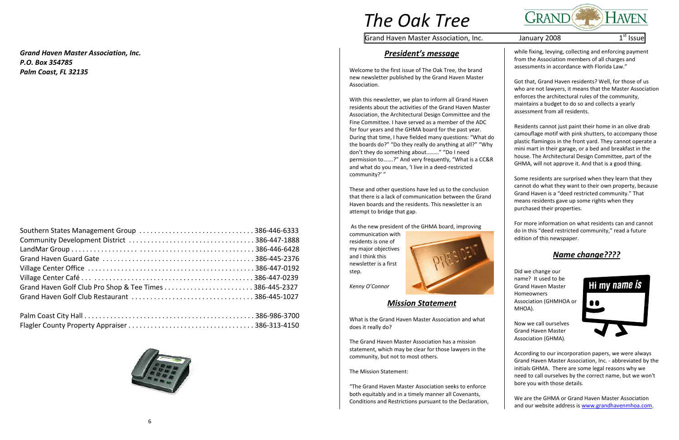# *The Oak Tree*

Grand Haven Master Association, Inc.  $\hphantom{\mathrm{a}}$  January 2008  $\hphantom{\mathrm{a}}$  1st Issue



*Grand Haven Master Association, Inc. P.O. Box 354785Palm Coast, FL 32135*



### *President's message*

Welcome to the first issue of The Oak Tree, the brand new newsletter published by the Grand Haven Master Association.

With this newsletter, we plan to inform all Grand Haven residents about the activities of the Grand Haven Master Association, the Architectural Design Committee and the Fine Committee. I have served as <sup>a</sup> member of the ADC for four years and the GHMA board for the past year. During that time, I have fielded many questions: "What do the boards do?" "Do they really do anything at all?" "Why don't they do something about………" "Do I need permission to…….?" And very frequently, "What is <sup>a</sup> CC&R and what do you mean, 'I live in <sup>a</sup> deed‐restricted community?' "

These and other questions have led us to the conclusion that there is <sup>a</sup> lack of communication between the Grand Haven boards and the residents. This newsletter is an attempt to bridge that gap.

> We are the GHMA or Grand Haven Master Association and our website address is www.grandhavenmhoa.com.

As the new president of the GHMA board, improving

communication with residents is one of my major objectives and I think this newsletter is a first step.



*Kenny O'Connor*

#### *Mission Statement*

What is the Grand Haven Master Association and what does it really do?

The Grand Haven Master Association has <sup>a</sup> mission statement, which may be clear for those lawyers in the community, but not to most others.

The Mission Statement:

"The Grand Haven Master Association seeks to enforce both equitably and in <sup>a</sup> timely manner all Covenants, Conditions and Restrictions pursuant to the Declaration, while fixing, levying, collecting and enforcing payment from the Association members of all charges and assessments in accordance with Florida Law."

Got that, Grand Haven residents? Well, for those of us who are not lawyers, it means that the Master Association enforces the architectural rules of the community, maintains a budget to do so and collects <sup>a</sup> yearly assessment from all residents.

Residents cannot just paint their home in an olive drab camouflage motif with pink shutters, to accompany those plastic flamingos in the front yard. They cannot operate <sup>a</sup> mini mart in their garage, or <sup>a</sup> bed and breakfast in the house. The Architectural Design Committee, part of the GHMA, will not approve it. And that is <sup>a</sup> good thing.

Some residents are surprised when they learn that they cannot do what they want to their own property, because Grand Haven is <sup>a</sup> "deed restricted community." That means residents gave up some rights when they purchased their properties.

For more information on what residents can and cannot do in this "deed restricted community," read <sup>a</sup> future edition of this newspaper.

# *Name change????*

Did we change our name? It used to be Grand Haven Master Homeowners Association (GHMHOA or MHOA).

Now we call ourselves Grand Haven Master Association (GHMA).



According to our incorporation papers, we were always Grand Haven Master Association, Inc. ‐ abbreviated by the initials GHMA. There are some legal reasons why we need to call ourselves by the correct name, but we won't bore you with those details.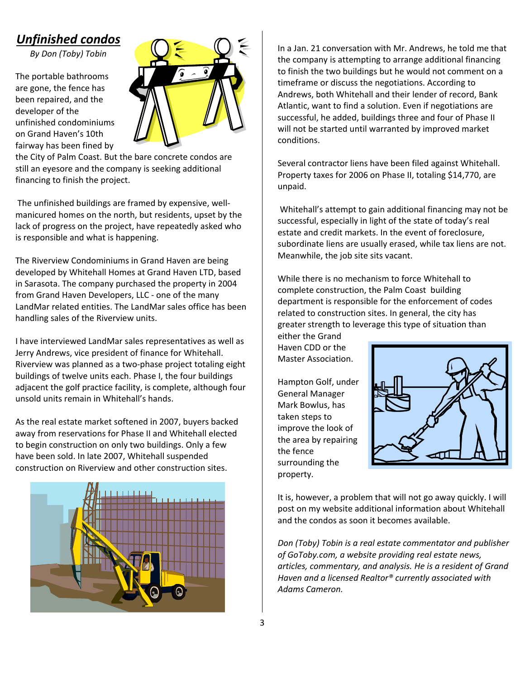# *Unfinished condos*

*By Don (Toby) Tobin*

The portable bathrooms are gone, the fence has been repaired, and the developer of the unfinished condominiums on Grand Haven's 10th fairway has been fined by



the City of Palm Coast. But the bare concrete condos are still an eyesore and the company is seeking additional financing to finish the project.

The unfinished buildings are framed by expensive, well‐ manicured homes on the north, but residents, upset by the lack of progress on the project, have repeatedly asked who is responsible and what is happening.

The Riverview Condominiums in Grand Haven are being developed by Whitehall Homes at Grand Haven LTD, based in Sarasota. The company purchased the property in 2004 from Grand Haven Developers, LLC ‐ one of the many LandMar related entities. The LandMar sales office has been handling sales of the Riverview units.

I have interviewed LandMar sales representatives as well as Jerry Andrews, vice president of finance for Whitehall. Riverview was planned as a two‐phase project totaling eight buildings of twelve units each. Phase I, the four buildings adjacent the golf practice facility, is complete, although four unsold units remain in Whitehall's hands.

As the real estate market softened in 2007, buyers backed away from reservations for Phase II and Whitehall elected to begin construction on only two buildings. Only a few have been sold. In late 2007, Whitehall suspended construction on Riverview and other construction sites.



In a Jan. 21 conversation with Mr. Andrews, he told me that the company is attempting to arrange additional financing to finish the two buildings but he would not comment on a timeframe or discuss the negotiations. According to Andrews, both Whitehall and their lender of record, Bank Atlantic, want to find a solution. Even if negotiations are successful, he added, buildings three and four of Phase II will not be started until warranted by improved market conditions.

Several contractor liens have been filed against Whitehall. Property taxes for 2006 on Phase II, totaling \$14,770, are unpaid.

Whitehall's attempt to gain additional financing may not be successful, especially in light of the state of today's real estate and credit markets. In the event of foreclosure, subordinate liens are usually erased, while tax liens are not. Meanwhile, the job site sits vacant.

While there is no mechanism to force Whitehall to complete construction, the Palm Coast building department is responsible for the enforcement of codes related to construction sites. In general, the city has greater strength to leverage this type of situation than either the Grand

Haven CDD or the Master Association.

Hampton Golf, under General Manager Mark Bowlus, has taken steps to improve the look of the area by repairing the fence surrounding the property.



It is, however, a problem that will not go away quickly. I will post on my website additional information about Whitehall and the condos as soon it becomes available.

*Don (Toby) Tobin is a real estate commentator and publisher of GoToby.com, a website providing real estate news, articles, commentary, and analysis. He is a resident of Grand Haven and a licensed Realtor® currently associated with Adams Cameron.*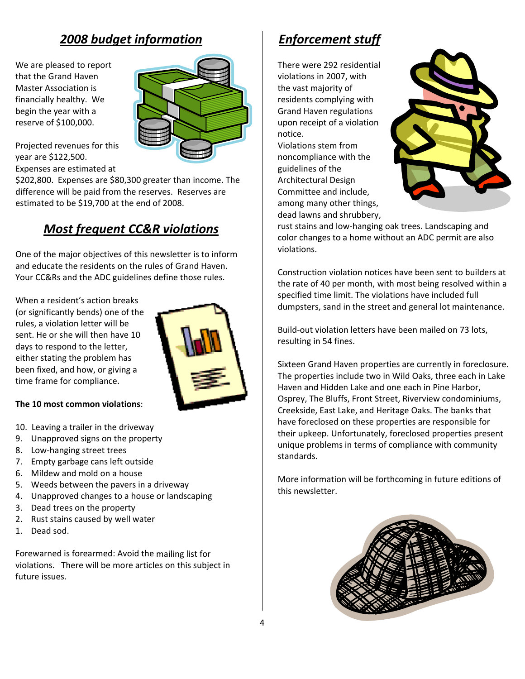# *2008 budget information*

We are pleased to report that the Grand Haven Master Association is financially healthy. We begin the year with a reserve of \$100,000.



Projected revenues for this year are \$122,500. Expenses are estimated at

\$202,800. Expenses are \$80,300 greater than income. The difference will be paid from the reserves. Reserves are estimated to be \$19,700 at the end of 2008.

## *Most frequent CC&R violations*

One of the major objectives of this newsletter is to inform and educate the residents on the rules of Grand Haven. Your CC&Rs and the ADC guidelines define those rules.

When a resident's action breaks (or significantly bends) one of the rules, a violation letter will be sent. He or she will then have 10 days to respond to the letter, either stating the problem has been fixed, and how, or giving a time frame for compliance.



#### **The 10 most common violations**:

- 10. Leaving a trailer in the driveway
- 9. Unapproved signs on the property
- 8. Low-hanging street trees
- 7. Empty garbage cans left outside
- 6. Mildew and mold on a house
- 5. Weeds between the pavers in a driveway
- 4. Unapproved changes to a house or landscaping
- 3. Dead trees on the property
- 2. Rust stains caused by well water
- 1. Dead sod.

Forewarned is forearmed: Avoid the mailing list for violations. There will be more articles on this subject in future issues.

# *Enforcement stuff*

There were 292 residential violations in 2007, with the vast majority of residents complying with Grand Haven regulations upon receipt of a violation notice.

Violations stem from noncompliance with the guidelines of the Architectural Design Committee and include, among many other things, dead lawns and shrubbery,



rust stains and low‐hanging oak trees. Landscaping and color changes to a home without an ADC permit are also violations.

Construction violation notices have been sent to builders at the rate of 40 per month, with most being resolved within a specified time limit. The violations have included full dumpsters, sand in the street and general lot maintenance.

Build‐out violation letters have been mailed on 73 lots, resulting in 54 fines.

Sixteen Grand Haven properties are currently in foreclosure. The properties include two in Wild Oaks, three each in Lake Haven and Hidden Lake and one each in Pine Harbor, Osprey, The Bluffs, Front Street, Riverview condominiums, Creekside, East Lake, and Heritage Oaks. The banks that have foreclosed on these properties are responsible for their upkeep. Unfortunately, foreclosed properties present unique problems in terms of compliance with community standards.

More information will be forthcoming in future editions of this newsletter.